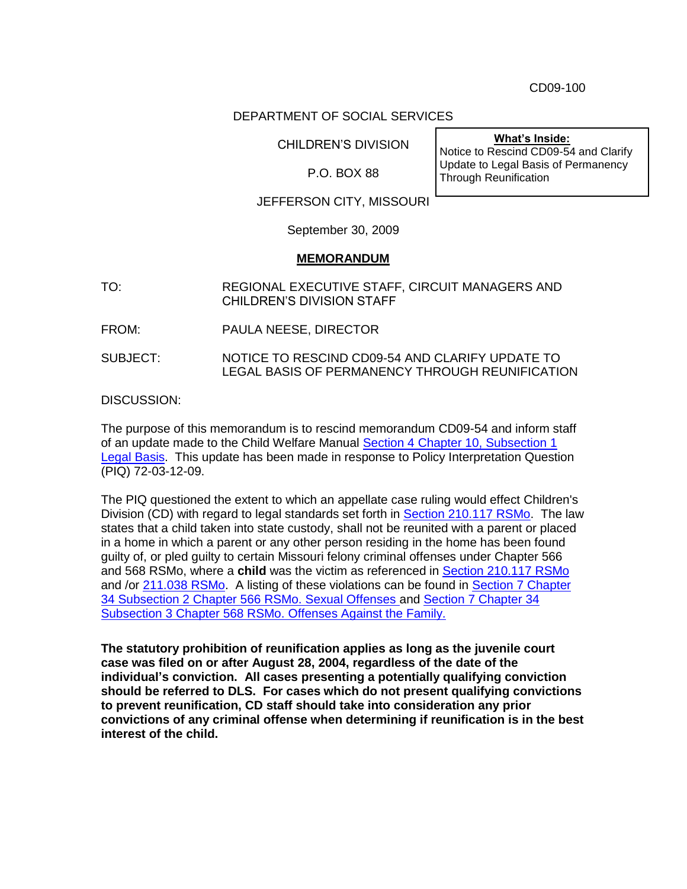CD09-100

## DEPARTMENT OF SOCIAL SERVICES

CHILDREN'S DIVISION

P.O. BOX 88

**What's Inside:** Notice to Rescind CD09-54 and Clarify Update to Legal Basis of Permanency Through Reunification

## JEFFERSON CITY, MISSOURI

September 30, 2009

## **MEMORANDUM**

TO: REGIONAL EXECUTIVE STAFF, CIRCUIT MANAGERS AND CHILDREN'S DIVISION STAFF

FROM: PAULA NEESE, DIRECTOR

SUBJECT: NOTICE TO RESCIND CD09-54 AND CLARIFY UPDATE TO LEGAL BASIS OF PERMANENCY THROUGH REUNIFICATION

DISCUSSION:

The purpose of this memorandum is to rescind memorandum CD09-54 and inform staff of an update made to the Child Welfare Manual [Section 4 Chapter 10, Subsection 1](http://www.dss.mo.gov/cd/info/cwmanual/section4/ch10/sec4ch10sub1.htm)  **[Legal Basis.](http://www.dss.mo.gov/cd/info/cwmanual/section4/ch10/sec4ch10sub1.htm)** This update has been made in response to Policy Interpretation Question (PIQ) 72-03-12-09.

The PIQ questioned the extent to which an appellate case ruling would effect Children's Division (CD) with regard to legal standards set forth in [Section 210.117 RSMo.](http://www.moga.mo.gov/statutes/c200-299/2100000117.htm) The law states that a child taken into state custody, shall not be reunited with a parent or placed in a home in which a parent or any other person residing in the home has been found guilty of, or pled guilty to certain Missouri felony criminal offenses under Chapter 566 and 568 RSMo, where a **child** was the victim as referenced in [Section 210.117 RSMo](http://www.moga.mo.gov/statutes/c200-299/2100000117.htm) and /or [211.038](http://www.moga.mo.gov/statutes/c200-299/2110000038.htm) RSMo. A listing of these violations can be found in [Section 7 Chapter](http://www.dss.mo.gov/cd/info/cwmanual/section7/ch34/sec7ch34sub2.htm)  [34 Subsection 2 Chapter 566 RSMo. Sexual Offenses a](http://www.dss.mo.gov/cd/info/cwmanual/section7/ch34/sec7ch34sub2.htm)nd [Section 7 Chapter 34](http://www.dss.mo.gov/cd/info/cwmanual/section7/ch34/sec7ch34sub3.htm)  Subsection [3 Chapter 568 RSMo. Offenses Against the Family.](http://www.dss.mo.gov/cd/info/cwmanual/section7/ch34/sec7ch34sub3.htm)

**The statutory prohibition of reunification applies as long as the juvenile court case was filed on or after August 28, 2004, regardless of the date of the individual's conviction. All cases presenting a potentially qualifying conviction should be referred to DLS. For cases which do not present qualifying convictions to prevent reunification, CD staff should take into consideration any prior convictions of any criminal offense when determining if reunification is in the best interest of the child.**